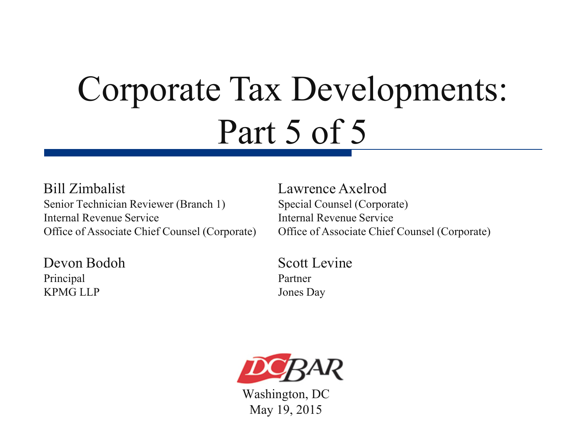# Corporate Tax Developments: Part 5 of 5

#### Bill Zimbalist Lawrence Axelrod Senior Technician Reviewer (Branch 1) Special Counsel (Corporate) Internal Revenue Service Internal Revenue Service Office of Associate Chief Counsel (Corporate) Office of Associate Chief Counsel (Corporate)

Devon Bodoh Scott Levine Principal Partner KPMG LLP Jones Day



Washington, DC May 19, 2015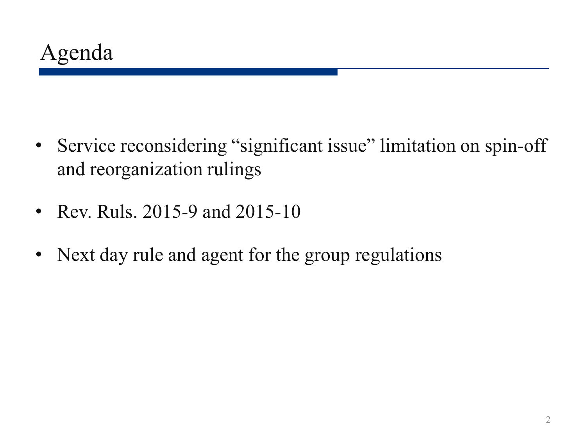- Service reconsidering "significant issue" limitation on spin-off and reorganization rulings
- Rev. Ruls. 2015-9 and 2015-10
- Next day rule and agent for the group regulations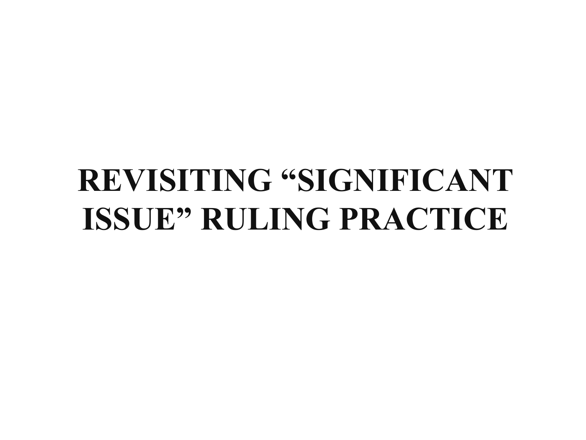# **REVISITING "SIGNIFICANT ISSUE" RULING PRACTICE**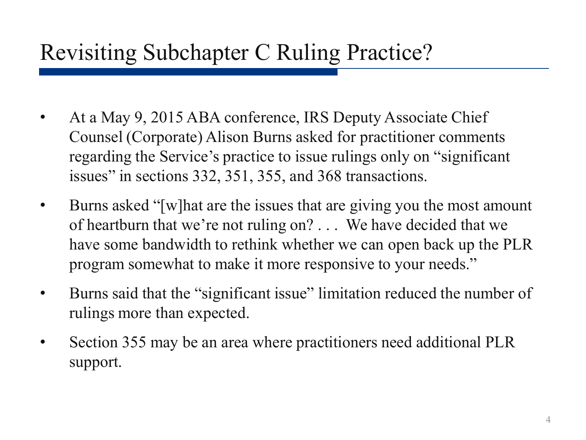#### Revisiting Subchapter C Ruling Practice?

- At a May 9, 2015 ABA conference, IRS Deputy Associate Chief Counsel (Corporate) Alison Burns asked for practitioner comments regarding the Service's practice to issue rulings only on "significant issues" in sections 332, 351, 355, and 368 transactions.
- Burns asked "[w]hat are the issues that are giving you the most amount of heartburn that we're not ruling on? . . . We have decided that we have some bandwidth to rethink whether we can open back up the PLR program somewhat to make it more responsive to your needs."
- Burns said that the "significant issue" limitation reduced the number of rulings more than expected.
- Section 355 may be an area where practitioners need additional PLR support.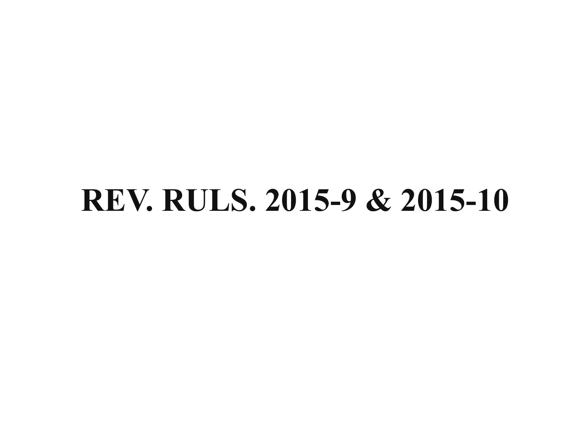# **REV. RULS. 2015-9 & 2015-10**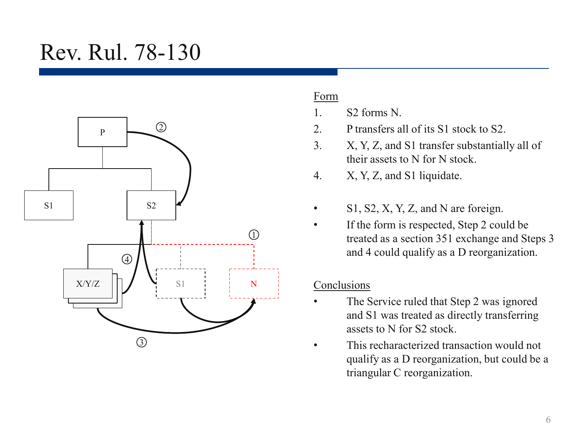### Rev. Rul. 78-130



#### Form

- 1. S2 forms N.
- 2. P transfers all of its S1 stock to S2.
- 3. X, Y, Z, and S1 transfer substantially all of their assets to N for N stock.
- 4. X, Y, Z, and S1 liquidate.
- S<sub>1</sub>, S<sub>2</sub>, X<sub>1</sub>, Y<sub>1</sub>, Z<sub>1</sub>, and N are foreign.
- If the form is respected, Step 2 could be treated as a section 351 exchange and Steps 3 and 4 could qualify as a D reorganization.

#### Conclusions

- The Service ruled that Step 2 was ignored and S1 was treated as directly transferring assets to N for S2 stock.
- This recharacterized transaction would not qualify as a D reorganization, but could be a triangular C reorganization.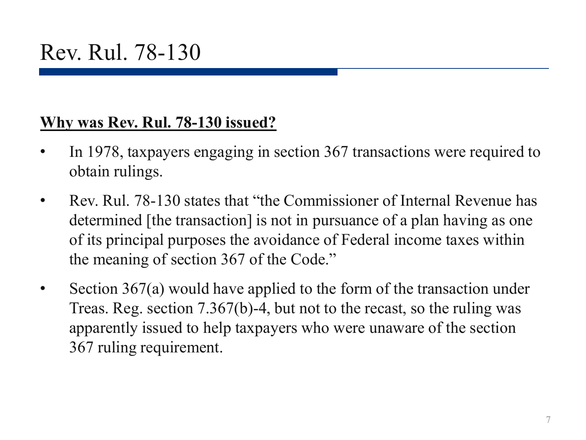#### **Why was Rev. Rul. 78-130 issued?**

- In 1978, taxpayers engaging in section 367 transactions were required to obtain rulings.
- Rev. Rul. 78-130 states that "the Commissioner of Internal Revenue has determined [the transaction] is not in pursuance of a plan having as one of its principal purposes the avoidance of Federal income taxes within the meaning of section 367 of the Code."
- Section 367(a) would have applied to the form of the transaction under Treas. Reg. section 7.367(b)-4, but not to the recast, so the ruling was apparently issued to help taxpayers who were unaware of the section 367 ruling requirement.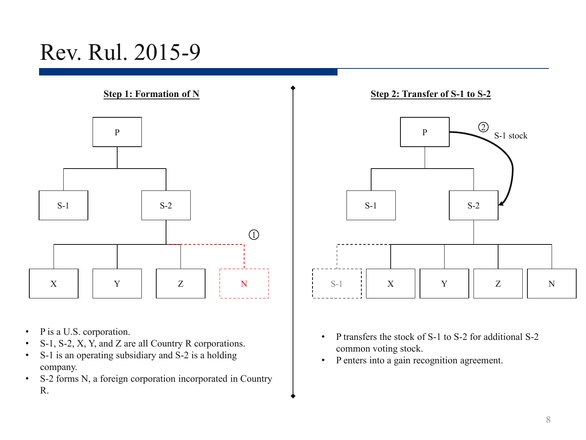### Rev. Rul. 2015-9



- P is a U.S. corporation.
- S-1, S-2, X, Y, and Z are all Country R corporations.
- S-1 is an operating subsidiary and S-2 is a holding company.
- S-2 forms N, a foreign corporation incorporated in Country R.



- P transfers the stock of S-1 to S-2 for additional S-2 common voting stock.
- P enters into a gain recognition agreement.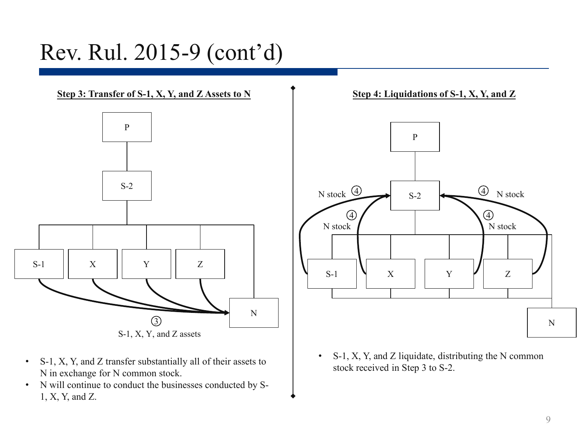### Rev. Rul. 2015-9 (cont'd)

**Step 3: Transfer of S-1, X, Y, and Z Assets to N Step 4: Liquidations of S-1, X, Y, and Z** 



S-1, X, Y, and Z assets

- S-1, X, Y, and Z transfer substantially all of their assets to N in exchange for N common stock.
- N will continue to conduct the businesses conducted by S-1, X, Y, and Z.





• S-1, X, Y, and Z liquidate, distributing the N common stock received in Step 3 to S-2.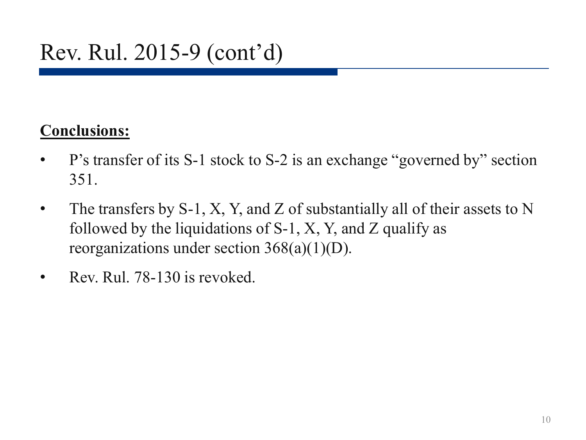#### **Conclusions:**

- P's transfer of its S-1 stock to S-2 is an exchange "governed by" section 351.
- The transfers by S-1, X, Y, and Z of substantially all of their assets to N followed by the liquidations of  $S-1$ , X, Y, and Z qualify as reorganizations under section  $368(a)(1)(D)$ .
- Rev. Rul. 78-130 is revoked.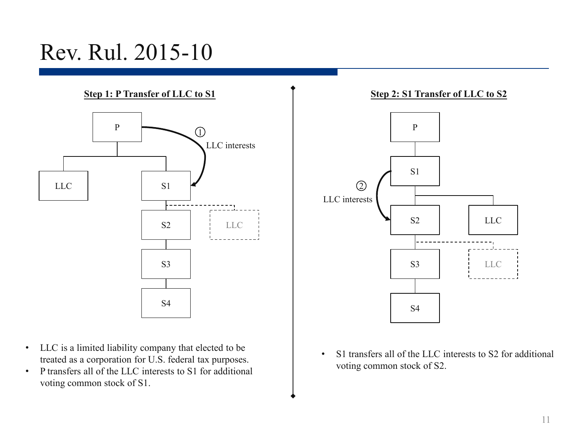### Rev. Rul. 2015-10



- LLC is a limited liability company that elected to be treated as a corporation for U.S. federal tax purposes.
- P transfers all of the LLC interests to S1 for additional voting common stock of S1.



• S1 transfers all of the LLC interests to S2 for additional voting common stock of S2.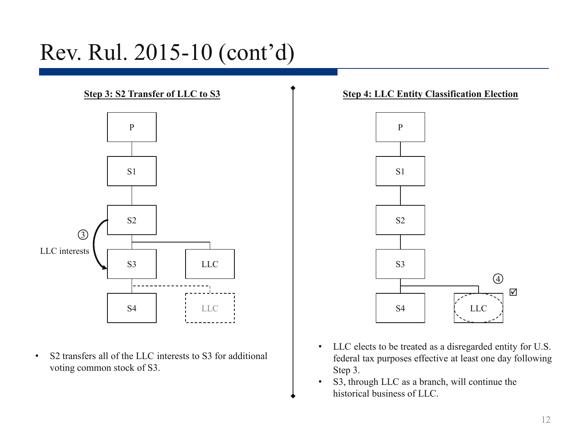### Rev. Rul. 2015-10 (cont'd)



• S2 transfers all of the LLC interests to S3 for additional voting common stock of S3.

#### **Step 3: S2 Transfer of LLC to S3 Step 4: LLC Entity Classification Election**



- LLC elects to be treated as a disregarded entity for U.S. federal tax purposes effective at least one day following Step 3.
- S3, through LLC as a branch, will continue the historical business of LLC.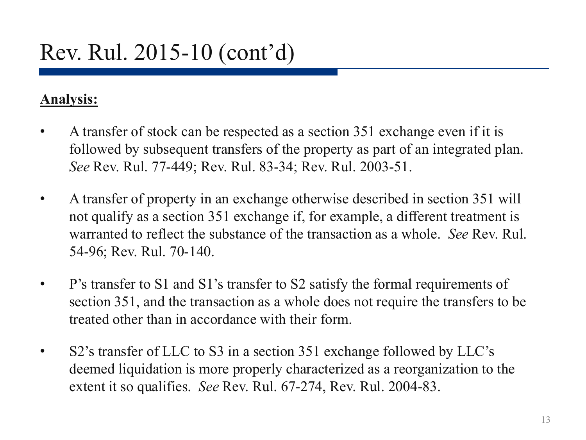#### **Analysis:**

- A transfer of stock can be respected as a section 351 exchange even if it is followed by subsequent transfers of the property as part of an integrated plan. *See* Rev. Rul. 77-449; Rev. Rul. 83-34; Rev. Rul. 2003-51.
- A transfer of property in an exchange otherwise described in section 351 will not qualify as a section 351 exchange if, for example, a different treatment is warranted to reflect the substance of the transaction as a whole. *See* Rev. Rul. 54-96; Rev. Rul. 70-140.
- P's transfer to S1 and S1's transfer to S2 satisfy the formal requirements of section 351, and the transaction as a whole does not require the transfers to be treated other than in accordance with their form.
- S2's transfer of LLC to S3 in a section 351 exchange followed by LLC's deemed liquidation is more properly characterized as a reorganization to the extent it so qualifies. *See* Rev. Rul. 67-274, Rev. Rul. 2004-83.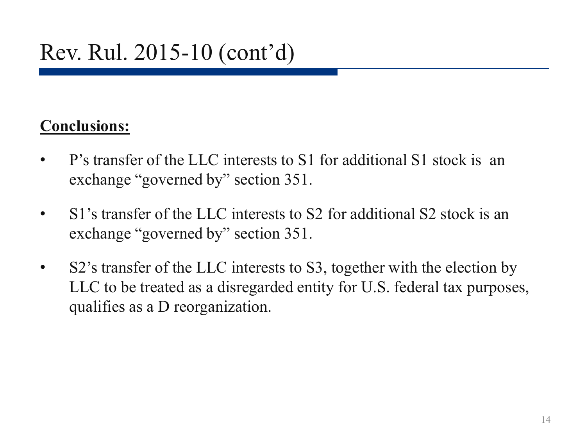#### **Conclusions:**

- P's transfer of the LLC interests to S1 for additional S1 stock is an exchange "governed by" section 351.
- S1's transfer of the LLC interests to S2 for additional S2 stock is an exchange "governed by" section 351.
- S2's transfer of the LLC interests to S3, together with the election by LLC to be treated as a disregarded entity for U.S. federal tax purposes, qualifies as a D reorganization.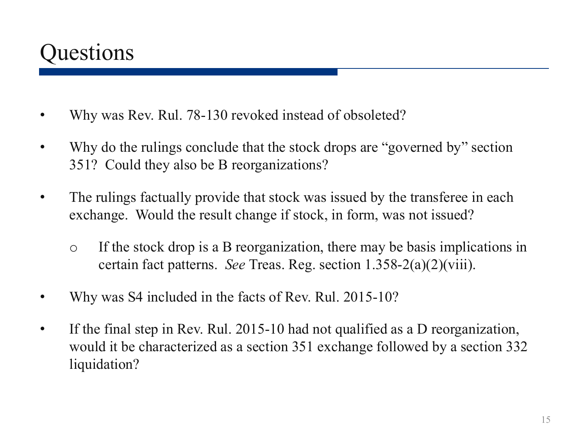### **Questions**

- Why was Rev. Rul. 78-130 revoked instead of obsoleted?
- Why do the rulings conclude that the stock drops are "governed by" section 351? Could they also be B reorganizations?
- The rulings factually provide that stock was issued by the transferee in each exchange. Would the result change if stock, in form, was not issued?
	- o If the stock drop is a B reorganization, there may be basis implications in certain fact patterns. *See* Treas. Reg. section 1.358-2(a)(2)(viii).
- Why was S4 included in the facts of Rev. Rul. 2015-10?
- If the final step in Rev. Rul. 2015-10 had not qualified as a D reorganization, would it be characterized as a section 351 exchange followed by a section 332 liquidation?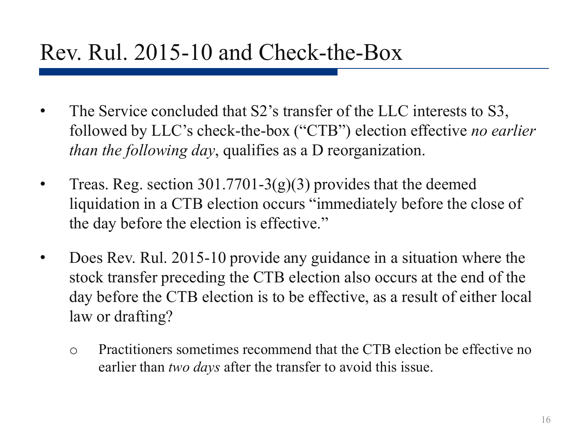- The Service concluded that S2's transfer of the LLC interests to S3, followed by LLC's check-the-box ("CTB") election effective *no earlier than the following day*, qualifies as a D reorganization.
- Treas. Reg. section 301.7701-3(g)(3) provides that the deemed liquidation in a CTB election occurs "immediately before the close of the day before the election is effective."
- Does Rev. Rul. 2015-10 provide any guidance in a situation where the stock transfer preceding the CTB election also occurs at the end of the day before the CTB election is to be effective, as a result of either local law or drafting?
	- o Practitioners sometimes recommend that the CTB election be effective no earlier than *two days* after the transfer to avoid this issue.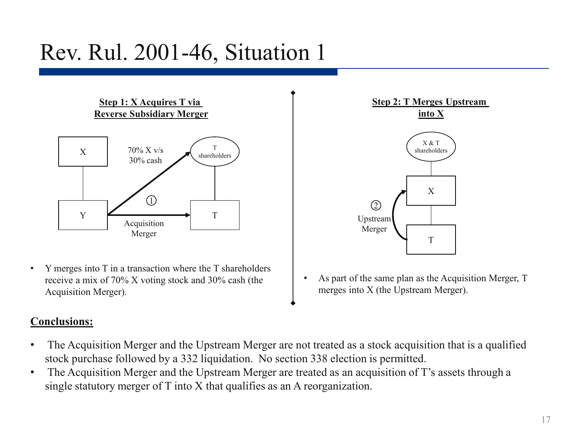## Rev. Rul. 2001-46, Situation 1

**Step 1: X Acquires T via Reverse Subsidiary Merger**



• Y merges into T in a transaction where the T shareholders receive a mix of 70% X voting stock and 30% cash (the Acquisition Merger).

#### **Conclusions:**

- The Acquisition Merger and the Upstream Merger are not treated as a stock acquisition that is a qualified stock purchase followed by a 332 liquidation. No section 338 election is permitted.
- The Acquisition Merger and the Upstream Merger are treated as an acquisition of T's assets through a single statutory merger of T into X that qualifies as an A reorganization.



As part of the same plan as the Acquisition Merger, T merges into X (the Upstream Merger).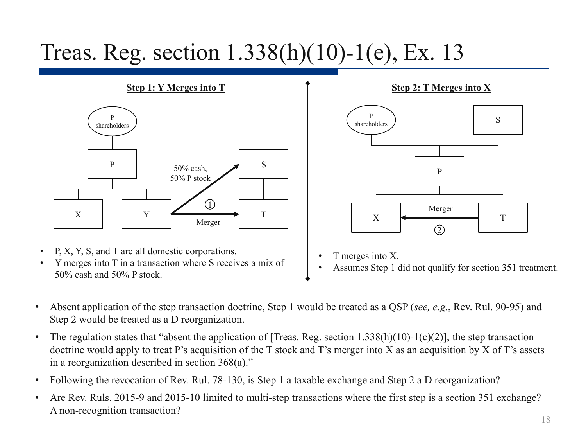## Treas. Reg. section 1.338(h)(10)-1(e), Ex. 13

**Step 1: Y Merges into T**



- P, X, Y, S, and T are all domestic corporations.
- Y merges into T in a transaction where S receives a mix of 50% cash and 50% P stock.



- T merges into X.
- Assumes Step 1 did not qualify for section 351 treatment.
- Absent application of the step transaction doctrine, Step 1 would be treated as a QSP (*see, e.g.*, Rev. Rul. 90-95) and Step 2 would be treated as a D reorganization.
- The regulation states that "absent the application of [Treas. Reg. section  $1.338(h)(10)$ -1(c)(2)], the step transaction doctrine would apply to treat P's acquisition of the T stock and T's merger into X as an acquisition by X of T's assets in a reorganization described in section 368(a)."
- Following the revocation of Rev. Rul. 78-130, is Step 1 a taxable exchange and Step 2 a D reorganization?
- Are Rev. Ruls. 2015-9 and 2015-10 limited to multi-step transactions where the first step is a section 351 exchange? A non-recognition transaction?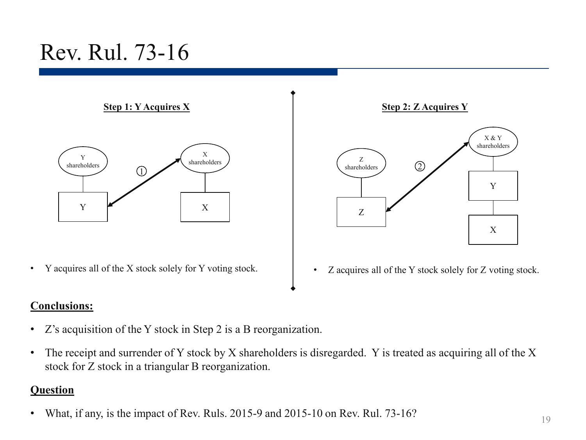## Rev. Rul. 73-16

**Step 1: Y Acquires X**



• Y acquires all of the X stock solely for Y voting stock.

#### **Conclusions:**

- Z's acquisition of the Y stock in Step 2 is a B reorganization.
- The receipt and surrender of Y stock by X shareholders is disregarded. Y is treated as acquiring all of the X stock for Z stock in a triangular B reorganization.

#### **Question**

• What, if any, is the impact of Rev. Ruls. 2015-9 and 2015-10 on Rev. Rul. 73-16?



• Z acquires all of the Y stock solely for Z voting stock.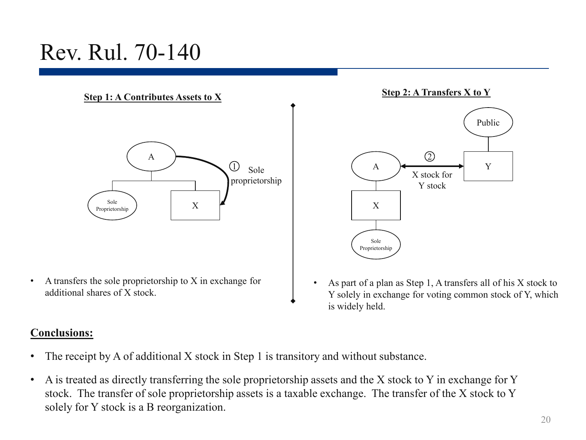### Rev. Rul. 70-140

**Step 1: A Contributes Assets to X**



• A transfers the sole proprietorship to X in exchange for additional shares of X stock.

#### **Conclusions:**

- The receipt by A of additional X stock in Step 1 is transitory and without substance.
- A is treated as directly transferring the sole proprietorship assets and the X stock to Y in exchange for Y stock. The transfer of sole proprietorship assets is a taxable exchange. The transfer of the X stock to Y solely for Y stock is a B reorganization.



• As part of a plan as Step 1, A transfers all of his X stock to Y solely in exchange for voting common stock of Y, which is widely held.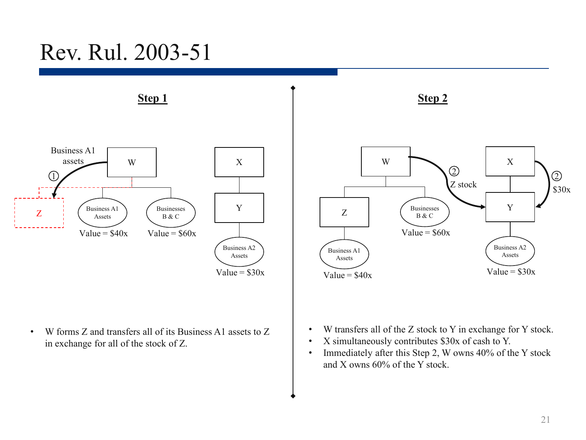### Rev. Rul. 2003-51



• W forms Z and transfers all of its Business A1 assets to Z in exchange for all of the stock of Z.



- W transfers all of the Z stock to Y in exchange for Y stock.
- X simultaneously contributes \$30x of cash to Y.
- Immediately after this Step 2, W owns 40% of the Y stock and X owns 60% of the Y stock.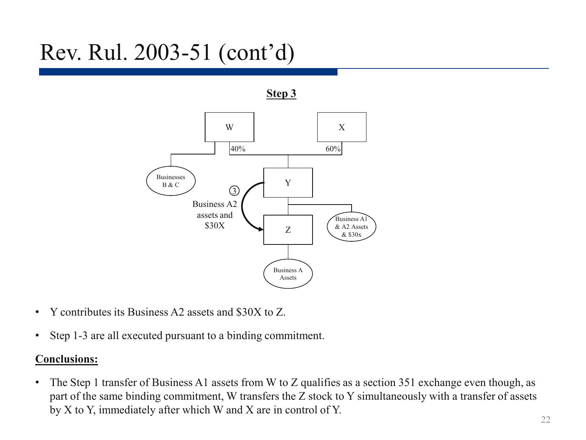## Rev. Rul. 2003-51 (cont'd)

**Step 3**



- Y contributes its Business A2 assets and \$30X to Z.
- Step 1-3 are all executed pursuant to a binding commitment.

#### **Conclusions:**

• The Step 1 transfer of Business A1 assets from W to Z qualifies as a section 351 exchange even though, as part of the same binding commitment, W transfers the Z stock to Y simultaneously with a transfer of assets by X to Y, immediately after which W and X are in control of Y.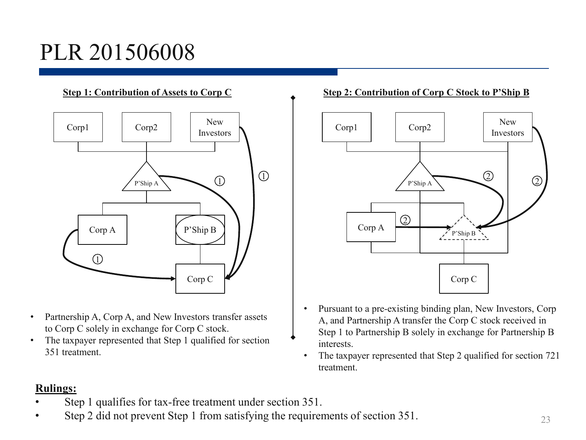## PLR 201506008

#### **Step 1: Contribution of Assets to Corp C**



- Partnership A, Corp A, and New Investors transfer assets to Corp C solely in exchange for Corp C stock.
- The taxpayer represented that Step 1 qualified for section 351 treatment.

#### **Step 2: Contribution of Corp C Stock to P'Ship B**



- Pursuant to a pre-existing binding plan, New Investors, Corp A, and Partnership A transfer the Corp C stock received in Step 1 to Partnership B solely in exchange for Partnership B interests.
- The taxpayer represented that Step 2 qualified for section 721 treatment.

#### **Rulings:**

- Step 1 qualifies for tax-free treatment under section 351.
- Step 2 did not prevent Step 1 from satisfying the requirements of section 351.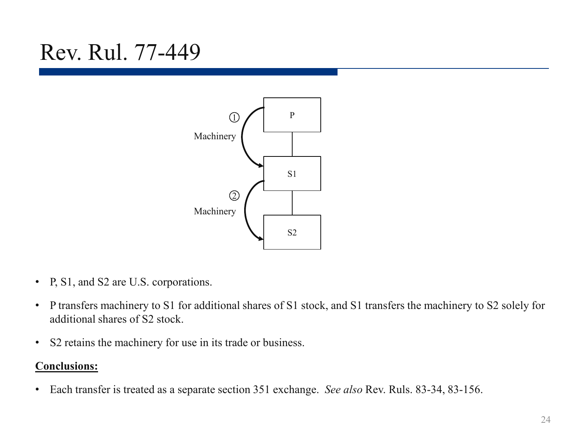### Rev. Rul. 77-449



- P, S1, and S2 are U.S. corporations.
- P transfers machinery to S1 for additional shares of S1 stock, and S1 transfers the machinery to S2 solely for additional shares of S2 stock.
- S2 retains the machinery for use in its trade or business.

#### **Conclusions:**

• Each transfer is treated as a separate section 351 exchange. *See also* Rev. Ruls. 83-34, 83-156.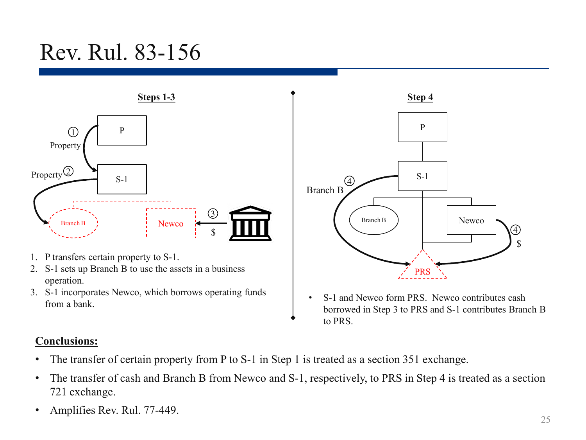### Rev. Rul. 83-156



- 1. P transfers certain property to S-1.
- 2. S-1 sets up Branch B to use the assets in a business operation.
- 3. S-1 incorporates Newco, which borrows operating funds from a bank.



• S-1 and Newco form PRS. Newco contributes cash borrowed in Step 3 to PRS and S-1 contributes Branch B to PRS.

#### **Conclusions:**

- The transfer of certain property from P to S-1 in Step 1 is treated as a section 351 exchange.
- The transfer of cash and Branch B from Newco and S-1, respectively, to PRS in Step 4 is treated as a section 721 exchange.
- Amplifies Rev. Rul. 77-449.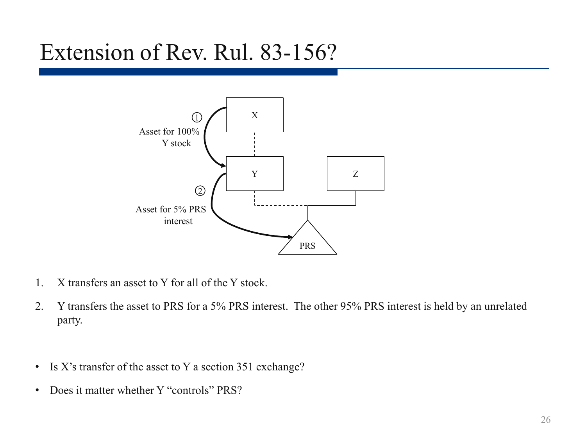#### Extension of Rev. Rul. 83-156?



- 1. X transfers an asset to Y for all of the Y stock.
- 2. Y transfers the asset to PRS for a 5% PRS interest. The other 95% PRS interest is held by an unrelated party.
- Is X's transfer of the asset to Y a section 351 exchange?
- Does it matter whether Y "controls" PRS?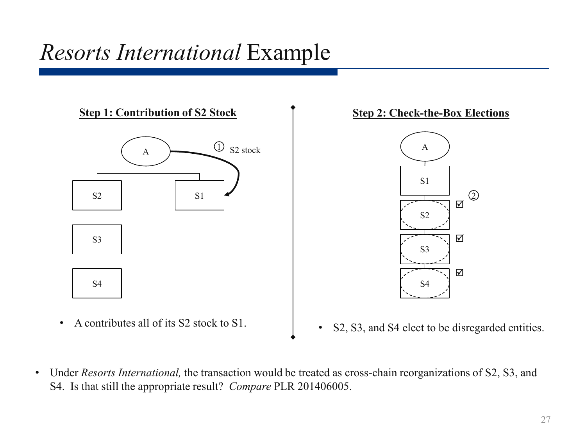### *Resorts International* Example



• A contributes all of its S2 stock to S1.





- S2, S3, and S4 elect to be disregarded entities.
- Under *Resorts International,* the transaction would be treated as cross-chain reorganizations of S2, S3, and S4. Is that still the appropriate result? *Compare* PLR 201406005.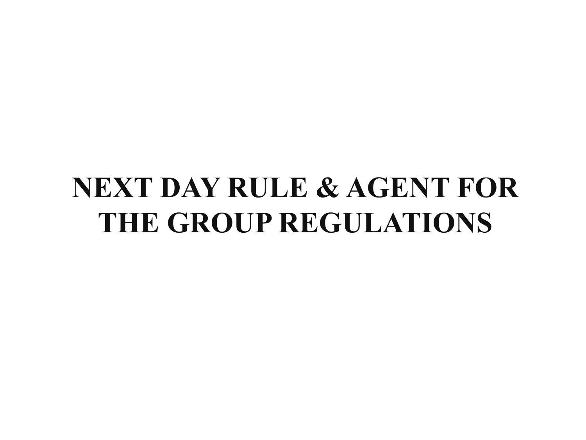# **NEXT DAY RULE & AGENT FOR THE GROUP REGULATIONS**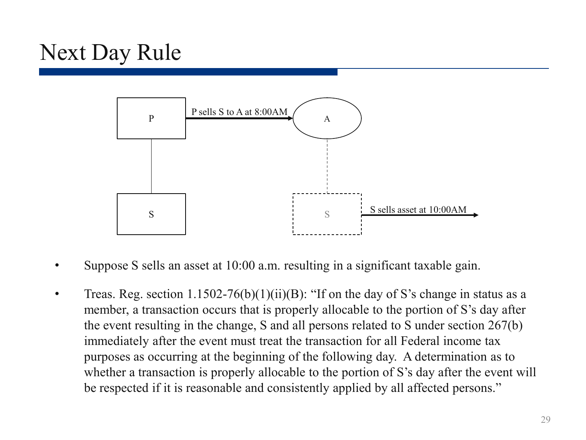## Next Day Rule



- Suppose S sells an asset at 10:00 a.m. resulting in a significant taxable gain.
- Treas. Reg. section  $1.1502-76(b)(1)(ii)(B)$ : "If on the day of S's change in status as a member, a transaction occurs that is properly allocable to the portion of S's day after the event resulting in the change, S and all persons related to S under section 267(b) immediately after the event must treat the transaction for all Federal income tax purposes as occurring at the beginning of the following day. A determination as to whether a transaction is properly allocable to the portion of S's day after the event will be respected if it is reasonable and consistently applied by all affected persons."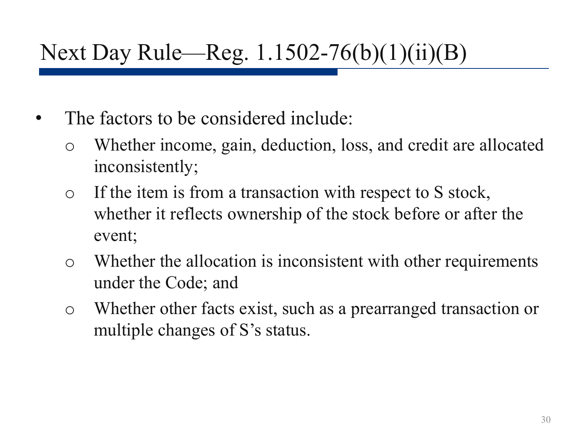## Next Day Rule—Reg. 1.1502-76(b)(1)(ii)(B)

- The factors to be considered include:
	- o Whether income, gain, deduction, loss, and credit are allocated inconsistently;
	- o If the item is from a transaction with respect to S stock, whether it reflects ownership of the stock before or after the event;
	- o Whether the allocation is inconsistent with other requirements under the Code; and
	- o Whether other facts exist, such as a prearranged transaction or multiple changes of S's status.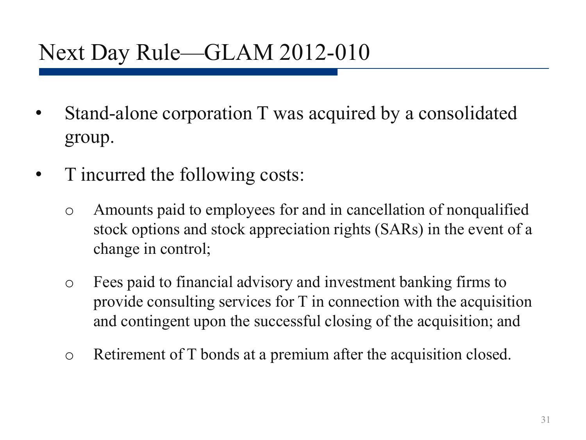### Next Day Rule—GLAM 2012-010

- Stand-alone corporation T was acquired by a consolidated group.
- T incurred the following costs:
	- o Amounts paid to employees for and in cancellation of nonqualified stock options and stock appreciation rights (SARs) in the event of a change in control;
	- o Fees paid to financial advisory and investment banking firms to provide consulting services for T in connection with the acquisition and contingent upon the successful closing of the acquisition; and
	- o Retirement of T bonds at a premium after the acquisition closed.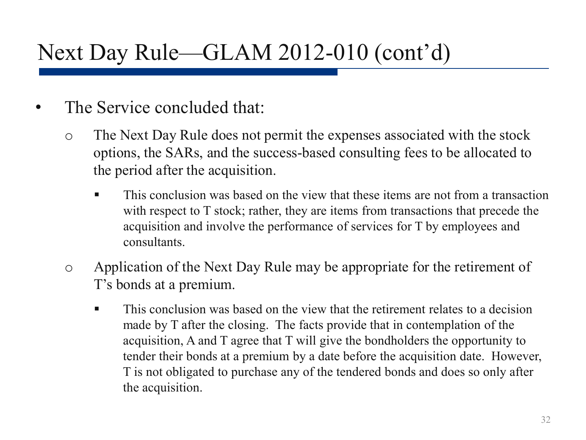## Next Day Rule—GLAM 2012-010 (cont'd)

- The Service concluded that:
	- o The Next Day Rule does not permit the expenses associated with the stock options, the SARs, and the success-based consulting fees to be allocated to the period after the acquisition.
		- **This conclusion was based on the view that these items are not from a transaction** with respect to T stock; rather, they are items from transactions that precede the acquisition and involve the performance of services for T by employees and consultants.
	- o Application of the Next Day Rule may be appropriate for the retirement of T's bonds at a premium.
		- This conclusion was based on the view that the retirement relates to a decision made by T after the closing. The facts provide that in contemplation of the acquisition, A and T agree that T will give the bondholders the opportunity to tender their bonds at a premium by a date before the acquisition date. However, T is not obligated to purchase any of the tendered bonds and does so only after the acquisition.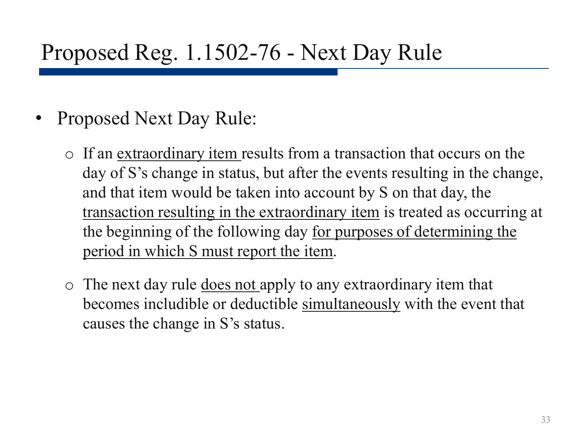#### Proposed Reg. 1.1502-76 - Next Day Rule

- Proposed Next Day Rule:
	- o If an extraordinary item results from a transaction that occurs on the day of S's change in status, but after the events resulting in the change, and that item would be taken into account by S on that day, the transaction resulting in the extraordinary item is treated as occurring at the beginning of the following day for purposes of determining the period in which S must report the item.
	- $\circ$  The next day rule does not apply to any extraordinary item that becomes includible or deductible simultaneously with the event that causes the change in S's status.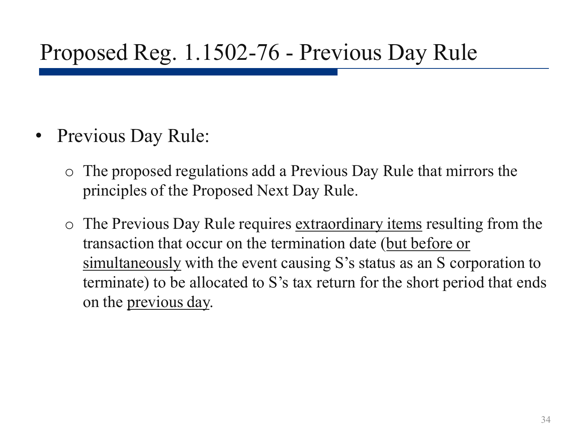#### Proposed Reg. 1.1502-76 - Previous Day Rule

- Previous Day Rule:
	- o The proposed regulations add a Previous Day Rule that mirrors the principles of the Proposed Next Day Rule.
	- $\circ$  The Previous Day Rule requires extraordinary items resulting from the transaction that occur on the termination date (but before or simultaneously with the event causing S's status as an S corporation to terminate) to be allocated to S's tax return for the short period that ends on the previous day.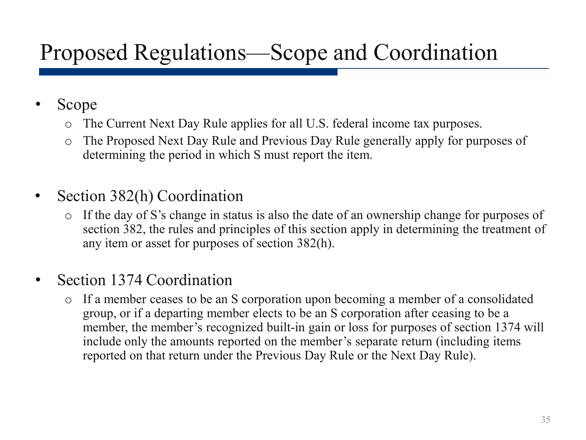## Proposed Regulations—Scope and Coordination

- Scope
	- o The Current Next Day Rule applies for all U.S. federal income tax purposes.
	- o The Proposed Next Day Rule and Previous Day Rule generally apply for purposes of determining the period in which S must report the item.
- Section 382(h) Coordination
	- o If the day of S's change in status is also the date of an ownership change for purposes of section 382, the rules and principles of this section apply in determining the treatment of any item or asset for purposes of section 382(h).
- Section 1374 Coordination
	- o If a member ceases to be an S corporation upon becoming a member of a consolidated group, or if a departing member elects to be an S corporation after ceasing to be a member, the member's recognized built-in gain or loss for purposes of section 1374 will include only the amounts reported on the member's separate return (including items reported on that return under the Previous Day Rule or the Next Day Rule).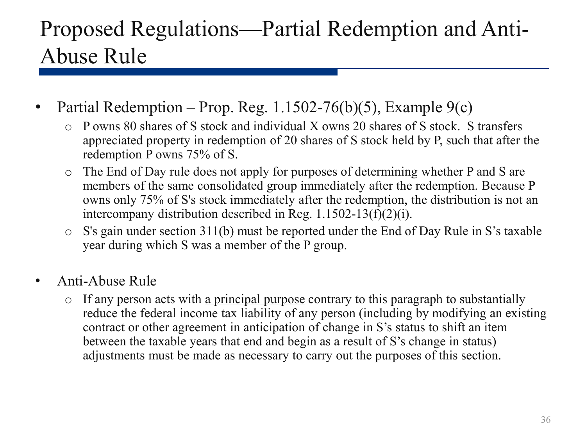### Proposed Regulations—Partial Redemption and Anti-Abuse Rule

- Partial Redemption Prop. Reg.  $1.1502-76(b)(5)$ , Example  $9(c)$ 
	- o P owns 80 shares of S stock and individual X owns 20 shares of S stock. S transfers appreciated property in redemption of 20 shares of S stock held by P, such that after the redemption P owns 75% of S.
	- o The End of Day rule does not apply for purposes of determining whether P and S are members of the same consolidated group immediately after the redemption. Because P owns only 75% of S's stock immediately after the redemption, the distribution is not an intercompany distribution described in Reg. 1.1502-13(f)(2)(i).
	- o S's gain under section 311(b) must be reported under the End of Day Rule in S's taxable year during which S was a member of the P group.
- Anti-Abuse Rule
	- o If any person acts with a principal purpose contrary to this paragraph to substantially reduce the federal income tax liability of any person (including by modifying an existing contract or other agreement in anticipation of change in S's status to shift an item between the taxable years that end and begin as a result of S's change in status) adjustments must be made as necessary to carry out the purposes of this section.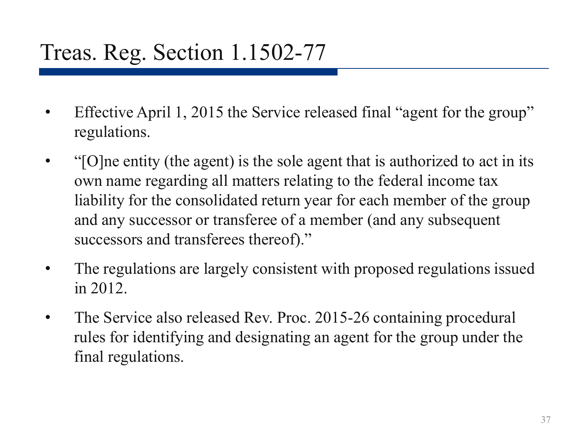### Treas. Reg. Section 1.1502-77

- Effective April 1, 2015 the Service released final "agent for the group" regulations.
- "[O]ne entity (the agent) is the sole agent that is authorized to act in its own name regarding all matters relating to the federal income tax liability for the consolidated return year for each member of the group and any successor or transferee of a member (and any subsequent successors and transferees thereof)."
- The regulations are largely consistent with proposed regulations issued in 2012.
- The Service also released Rev. Proc. 2015-26 containing procedural rules for identifying and designating an agent for the group under the final regulations.